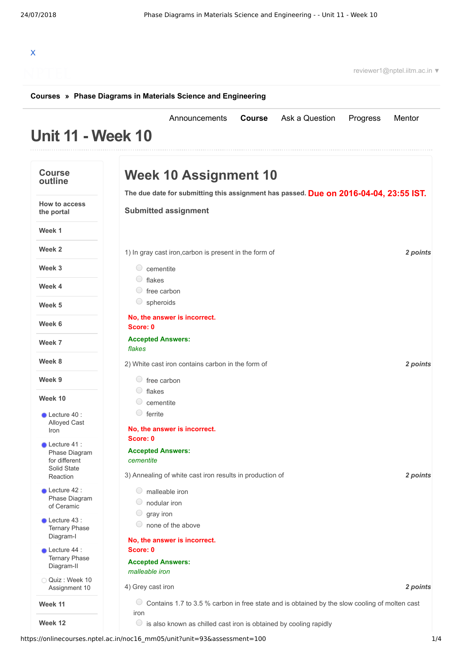| X                                                                       | reviewer1@nptel.iitm.ac.in ▼                                                                                              |          |
|-------------------------------------------------------------------------|---------------------------------------------------------------------------------------------------------------------------|----------|
|                                                                         | Courses » Phase Diagrams in Materials Science and Engineering                                                             |          |
| <b>Unit 11 - Week 10</b>                                                | Announcements<br>Course<br>Ask a Question<br>Mentor<br>Progress                                                           |          |
| <b>Course</b><br>outline                                                | <b>Week 10 Assignment 10</b>                                                                                              |          |
| <b>How to access</b><br>the portal                                      | The due date for submitting this assignment has passed. Due on 2016-04-04, 23:55 IST.<br><b>Submitted assignment</b>      |          |
| Week 1                                                                  |                                                                                                                           |          |
| Week 2                                                                  | 1) In gray cast iron, carbon is present in the form of                                                                    | 2 points |
| Week 3                                                                  | $\circ$ cementite<br>$\circ$ flakes                                                                                       |          |
| Week 4                                                                  | $\circ$ free carbon<br>$\circ$ spheroids                                                                                  |          |
| Week 5<br>Week 6                                                        | No, the answer is incorrect.                                                                                              |          |
| Week 7                                                                  | Score: 0<br><b>Accepted Answers:</b><br>flakes                                                                            |          |
| Week 8                                                                  | 2) White cast iron contains carbon in the form of<br>2 points                                                             |          |
| Week 9                                                                  | $\circ$ free carbon                                                                                                       |          |
| Week 10                                                                 | $\bigcirc$ flakes<br>cementite                                                                                            |          |
| $\bullet$ Lecture 40 :<br>Alloyed Cast<br>Iron                          | 0<br>ferrite<br>No, the answer is incorrect.                                                                              |          |
| $\bullet$ Lecture 41 :<br>Phase Diagram<br>for different<br>Solid State | Score: 0<br><b>Accepted Answers:</b><br>cementite<br>3) Annealing of white cast iron results in production of<br>2 points |          |
| Reaction<br>Lecture 42 :<br>Phase Diagram<br>of Ceramic                 | $\circ$ malleable iron<br>nodular iron                                                                                    |          |
| Lecture 43 :<br><b>Ternary Phase</b><br>Diagram-I                       | U<br>gray iron<br>none of the above                                                                                       |          |
| $\bullet$ Lecture 44 :<br><b>Ternary Phase</b><br>Diagram-II            | No, the answer is incorrect.<br>Score: 0<br><b>Accepted Answers:</b><br>malleable iron                                    |          |
| Quiz: Week 10<br>Assignment 10                                          | 4) Grey cast iron                                                                                                         | 2 points |
| Week 11                                                                 | $\cup$<br>Contains 1.7 to 3.5 % carbon in free state and is obtained by the slow cooling of molten cast                   |          |
| Week 12                                                                 | iron<br>$\circ$ is also known as chilled cast iron is obtained by cooling rapidly                                         |          |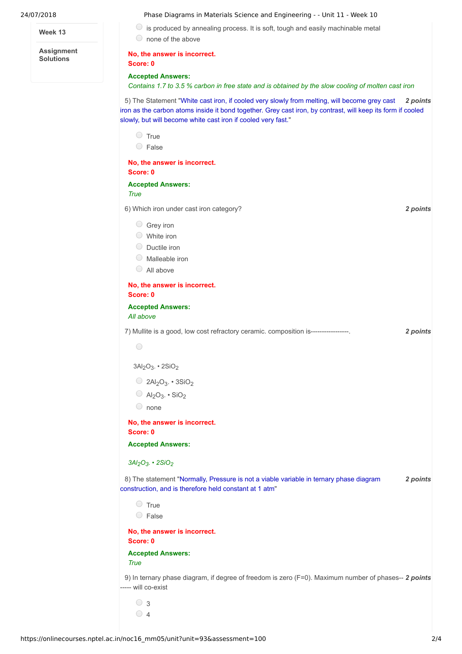#### **Week 13**

**Assignment Solutions**

### 24/07/2018 Phase Diagrams in Materials Science and Engineering - - Unit 11 - Week 10

 $\bigcirc$  is produced by annealing process. It is soft, tough and easily machinable metal

none of the above

## **No, the answer is incorrect.**

## **Accepted Answers:**

**Score: 0**

Contains 1.7 to 3.5 % carbon in free state and is obtained by the slow cooling of molten cast iron

5) The Statement "White cast iron, if cooled very slowly from melting, will become grey cast 2 points iron as the carbon atoms inside it bond together. Grey cast iron, by contrast, will keep its form if cooled slowly, but will become white cast iron if cooled very fast."

| $\bigcirc$<br>True<br>$\circ$ False                                                                                                              |          |  |
|--------------------------------------------------------------------------------------------------------------------------------------------------|----------|--|
| No, the answer is incorrect.<br>Score: 0                                                                                                         |          |  |
| <b>Accepted Answers:</b><br>True                                                                                                                 |          |  |
| 6) Which iron under cast iron category?                                                                                                          | 2 points |  |
| $\circ$ Grey iron<br>$\circ$ White iron<br>O Ductile iron<br>$\bigcirc$<br>Malleable iron<br>$\bigcirc$<br>All above                             |          |  |
| No, the answer is incorrect.<br>Score: 0                                                                                                         |          |  |
| <b>Accepted Answers:</b><br>All above                                                                                                            |          |  |
| 7) Mullite is a good, low cost refractory ceramic. composition is----------------                                                                | 2 points |  |
| $\bigcirc$                                                                                                                                       |          |  |
| $3Al2O3$ . $2SiO2$                                                                                                                               |          |  |
| $\bigcirc$ 2Al <sub>2</sub> O <sub>3</sub> . • 3SiO <sub>2</sub>                                                                                 |          |  |
| $O$ Al <sub>2</sub> O <sub>3</sub> . • SiO <sub>2</sub>                                                                                          |          |  |
| $\circ$ none                                                                                                                                     |          |  |
| No, the answer is incorrect.<br>Score: 0                                                                                                         |          |  |
| <b>Accepted Answers:</b>                                                                                                                         |          |  |
| $3Al2O3$ . $2SiO2$                                                                                                                               |          |  |
| 8) The statement "Normally, Pressure is not a viable variable in ternary phase diagram<br>construction, and is therefore held constant at 1 atm" | 2 points |  |
| $\circ$ True<br>0<br>False                                                                                                                       |          |  |
| No, the answer is incorrect.<br>Score: 0                                                                                                         |          |  |
| <b>Accepted Answers:</b><br><b>True</b>                                                                                                          |          |  |
| 9) In ternary phase diagram, if degree of freedom is zero (F=0). Maximum number of phases-- 2 points<br>----- will co-exist                      |          |  |
| $\circ$ 3<br>$\circ$ 4                                                                                                                           |          |  |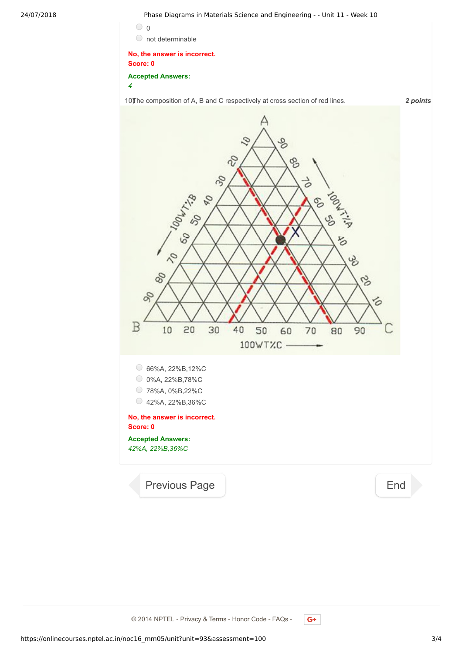24/07/2018 Phase Diagrams in Materials Science and Engineering - - Unit 11 - Week 10



# **No, the answer is incorrect. Score: 0**

**Accepted Answers:** *4*

10) The composition of A, B and C respectively at cross section of red lines. **2 points** 



© 2014 NPTEL - Privacy & Terms - Honor Code - FAQs -

 $G^+$